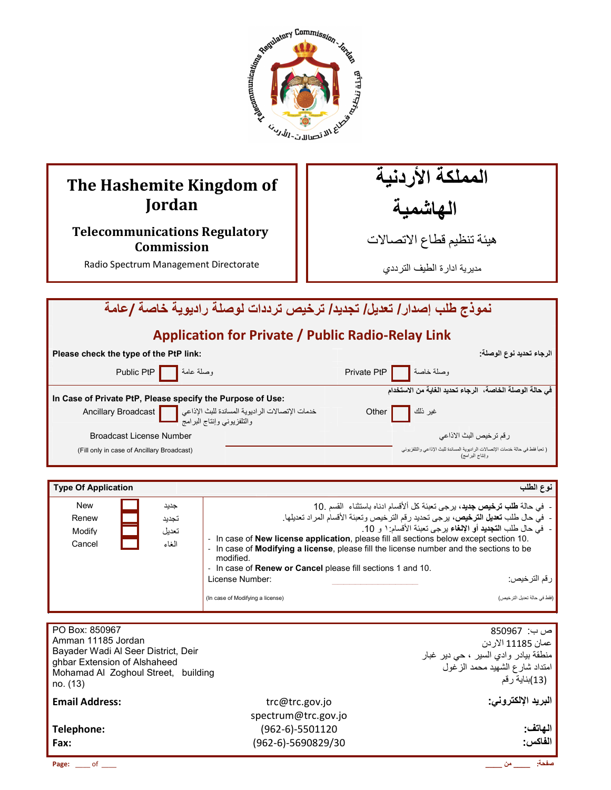

## **The Hashemite Kingdom of Jordan**

## **Telecommunications Regulatory Commission**

Radio Spectrum Management Directorate

المملكة الأردنية الـهاشْمية

هيئة تنظيم قطاع الاتصـالات

مديرية ادارة الطيف الترددي

| نموذج طلب إصدار / تعديل/ تجديد/ ترخيص ترددات لوصلة راديوية خاصة /عامة |  |                                                                                                       |  |  |  |  |  |
|-----------------------------------------------------------------------|--|-------------------------------------------------------------------------------------------------------|--|--|--|--|--|
| <b>Application for Private / Public Radio-Relay Link</b>              |  |                                                                                                       |  |  |  |  |  |
| Please check the type of the PtP link:                                |  | الرجاء تحديد نوع الوصلة.                                                                              |  |  |  |  |  |
| وصلة عامة Public PtP   اوصلة                                          |  | وصلة خاصة    Private PtP                                                                              |  |  |  |  |  |
| In Case of Private PtP, Please specify the Purpose of Use:            |  | في حالة الوصلة الخاصة،  الرجاء تحديد الغاية من الاستخدام                                              |  |  |  |  |  |
|                                                                       |  | غير نلك  <br>Other                                                                                    |  |  |  |  |  |
| <b>Broadcast License Number</b>                                       |  | ر قم تر خيص البث الاذاعي                                                                              |  |  |  |  |  |
| (Fill only in case of Ancillary Broadcast)                            |  | ( تعبأ فقط في حالة خدمات الإتصالات الر اديوية المساندة للبث الإذاعي والتلفزيوني<br>و اِنتاج البر امج) |  |  |  |  |  |

| <b>Type Of Application</b> |       | نوع الطلب                                                                                                                                                                                               |
|----------------------------|-------|---------------------------------------------------------------------------------------------------------------------------------------------------------------------------------------------------------|
| <b>New</b>                 | جديد  | - في حالة <b>طلب ترخيص جديد</b> ، يرجى تعبئة كل ألأقسام ادناه باستثناء  القسم .10                                                                                                                       |
| Renew                      | تجدبد | -  في حال طلب تعديل الترخيص، برجي تحديد رقم الترخيص وتعبئة الأقسام المراد تعديلها.                                                                                                                      |
| Modify                     | تعدبل | -  في حال طلب ا <b>لتجديد</b> أو الإ <b>لغ</b> اء يرجى تعبئة الأقسام ١ و 10.                                                                                                                            |
| Cancel                     | الغاء | - In case of <b>New license application</b> , please fill all sections below except section 10.<br>- In case of Modifying a license, please fill the license number and the sections to be<br>modified. |
|                            |       | - In case of <b>Renew or Cancel</b> please fill sections 1 and 10.                                                                                                                                      |
|                            |       | License Number:<br>رزقم الترخيص:                                                                                                                                                                        |
|                            |       | (فقط في حالة تحديل التر خيص)<br>(In case of Modifying a license)                                                                                                                                        |

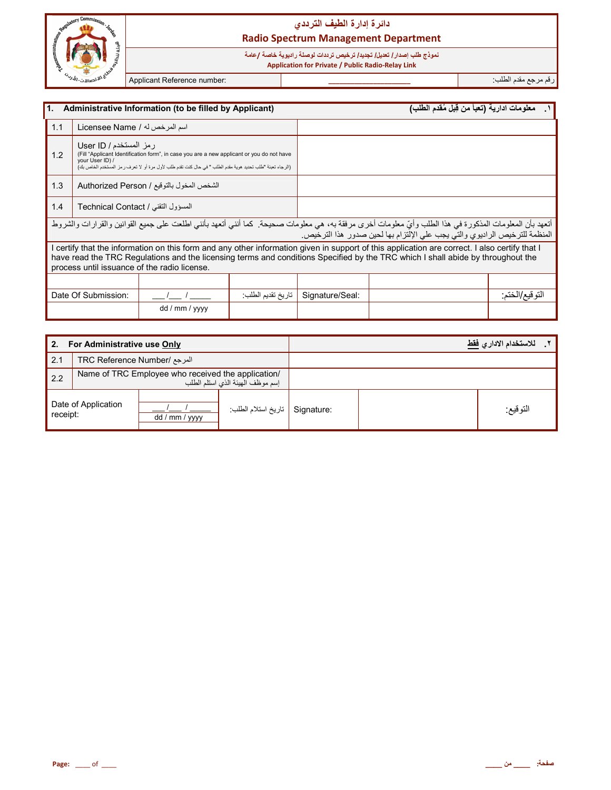

# نموذج طلب إصدا*ر |* تعديل/ تجديد/ ترخيص ترددات لوصلة راديوية خاصة /عامة<br>Application for Private / Public Radio-Relay Link

Applicant Reference number:

رقم مرجع مقدم الطلب:

| 1.                                                                                                                                                                                                                                                         |                                                                                                                                                                                                                                                                                                                                | Administrative Information (to be filled by Applicant) |                   |                 | معلومات ادارية (تعبأ من قِبل مُقدم الطلب)                                                                                                                                                                                            |                 |
|------------------------------------------------------------------------------------------------------------------------------------------------------------------------------------------------------------------------------------------------------------|--------------------------------------------------------------------------------------------------------------------------------------------------------------------------------------------------------------------------------------------------------------------------------------------------------------------------------|--------------------------------------------------------|-------------------|-----------------|--------------------------------------------------------------------------------------------------------------------------------------------------------------------------------------------------------------------------------------|-----------------|
| 1.1                                                                                                                                                                                                                                                        | اسم المرخص له / Licensee Name                                                                                                                                                                                                                                                                                                  |                                                        |                   |                 |                                                                                                                                                                                                                                      |                 |
| رمز المستخدم / User ID<br>1.2<br>(Fill "Applicant Identification form", in case you are a new applicant or you do not have<br>your User ID) /<br>(الرجاء تعبئة "طلب تحديد هوية مقدم الطلب " في حال كنت تقدم طلب لأول مرة أو لا تعرف رمز المستخدم الخاص بك) |                                                                                                                                                                                                                                                                                                                                |                                                        |                   |                 |                                                                                                                                                                                                                                      |                 |
| 1.3<br>الشخص المخول بالتوقيع / Authorized Person                                                                                                                                                                                                           |                                                                                                                                                                                                                                                                                                                                |                                                        |                   |                 |                                                                                                                                                                                                                                      |                 |
| 1.4<br>المسؤول التقني / Technical Contact                                                                                                                                                                                                                  |                                                                                                                                                                                                                                                                                                                                |                                                        |                   |                 |                                                                                                                                                                                                                                      |                 |
|                                                                                                                                                                                                                                                            |                                                                                                                                                                                                                                                                                                                                |                                                        |                   |                 | أتعهد بأن المعلومات المذكورة في هذا الطلب وأيّ معلومات أخرى مرفقة به، هي معلومات صحيحة. كما أنني أتعهد بأنني اطلعت على جميع القوانين والقرارات والشروط<br>المنظمة للترخيص الراديوي والتي يجب على الإلتزام بها لحين صدور هذا الترخيص. |                 |
|                                                                                                                                                                                                                                                            | certify that the information on this form and any other information given in support of this application are correct. I also certify that I<br>have read the TRC Regulations and the licensing terms and conditions Specified by the TRC which I shall abide by throughout the<br>process until issuance of the radio license. |                                                        |                   |                 |                                                                                                                                                                                                                                      |                 |
|                                                                                                                                                                                                                                                            |                                                                                                                                                                                                                                                                                                                                |                                                        |                   |                 |                                                                                                                                                                                                                                      |                 |
|                                                                                                                                                                                                                                                            | Date Of Submission:                                                                                                                                                                                                                                                                                                            |                                                        | تاريخ تقديم الطلب | Signature/Seal: |                                                                                                                                                                                                                                      | التو قيع/الختم: |
|                                                                                                                                                                                                                                                            |                                                                                                                                                                                                                                                                                                                                | dd / mm / yyyy                                         |                   |                 |                                                                                                                                                                                                                                      |                 |

| 2.       | For Administrative use Only                                                            |                |                                |  | للاستخدام الاداري فقط |  |
|----------|----------------------------------------------------------------------------------------|----------------|--------------------------------|--|-----------------------|--|
| 2.1      | المرجع /TRC Reference Number                                                           |                |                                |  |                       |  |
| 2.2      | Name of TRC Employee who received the application/<br>إسم موظف الهيئة الذي استلم الطلب |                |                                |  |                       |  |
| receipt: | Date of Application                                                                    | dd / mm / yyyy | Signature   تاريخ استلام الطلب |  | التوقيع:              |  |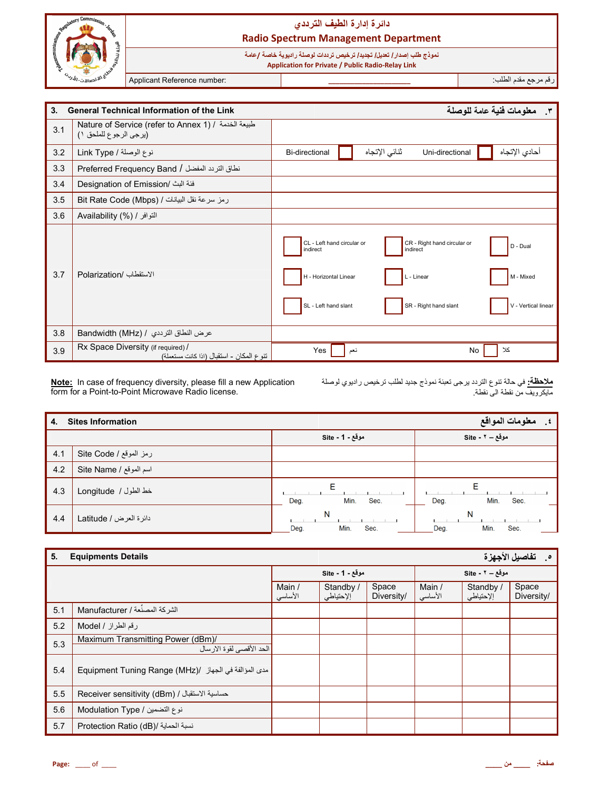|                                 | دائرة إدارة الطيف الترددي<br><b>Radio Spectrum Management Department</b> |  |                                                                                                                                   |                      |  |  |  |
|---------------------------------|--------------------------------------------------------------------------|--|-----------------------------------------------------------------------------------------------------------------------------------|----------------------|--|--|--|
|                                 |                                                                          |  | نموذج طلب إصدار / تعديل/ تجديد/ ترخيص ترددات لوصلة راديوية خاصة /عامة<br><b>Application for Private / Public Radio-Relay Link</b> |                      |  |  |  |
| $\omega_{\nu j}$ $\omega_{\nu}$ | Applicant Reference number:                                              |  |                                                                                                                                   | ارقم مرجع مقدم الطلب |  |  |  |

| 3 <sub>1</sub> | معلومات فنية عامة للوصلة<br><b>General Technical Information of the Link</b><br>$\mathbf{r}$ |                                                                                         |               |                                                                                |                                              |
|----------------|----------------------------------------------------------------------------------------------|-----------------------------------------------------------------------------------------|---------------|--------------------------------------------------------------------------------|----------------------------------------------|
| 3.1            | Nature of Service (refer to Annex 1) / طبيعة الخدمة /<br>(برجى الرجوع للملحق ١)              |                                                                                         |               |                                                                                |                                              |
| 3.2            | نوع الوصلة / Link Type                                                                       | <b>Bi-directional</b>                                                                   | تنائى الإتجاه | Uni-directional                                                                | أحادي الإتجاه                                |
| 3.3            | نطاق التردد المفضل / Preferred Frequency Band                                                |                                                                                         |               |                                                                                |                                              |
| 3.4            | فئة البث /Designation of Emission                                                            |                                                                                         |               |                                                                                |                                              |
| 3.5            | رمز سرعة نقل البيانات / Bit Rate Code (Mbps)                                                 |                                                                                         |               |                                                                                |                                              |
| 3.6            | Availability (%) / التوافر /                                                                 |                                                                                         |               |                                                                                |                                              |
| 3.7            | الاستقطاب /Polarization                                                                      | CL - Left hand circular or<br>indirect<br>H - Horizontal Linear<br>SL - Left hand slant |               | CR - Right hand circular or<br>indirect<br>L - Linear<br>SR - Right hand slant | D - Dual<br>M - Mixed<br>V - Vertical linear |
| 3.8            | عرض النطاق الترددي / Bandwidth (MHz)                                                         |                                                                                         |               |                                                                                |                                              |
| 3.9            | Rx Space Diversity (if required) /<br>تتوع المكان - استقبال (اذا كانت مستعملة)               | Yes                                                                                     | نعم           | <b>No</b>                                                                      | کلا                                          |

Note: In case of frequency diversity, please fill a new Application<br>form for a Point-to-Point Microwave Radio license.

<mark>ملاحظة:</mark> في حالة تنوع التردد برجي تعبئة نموذج جديد لطلب ترخيص راديوي لوصلة<br>مايكرويف من نقطة الي نقطة<sub>.</sub>

| 4.  | معلومات المواقع<br><b>Sites Information</b> |                           |                           |  |  |
|-----|---------------------------------------------|---------------------------|---------------------------|--|--|
|     |                                             | موقع - 1 - Site           | موقع = ٢ - Site           |  |  |
| 4.1 | رمز الموقع / Site Code                      |                           |                           |  |  |
| 4.2 | اسم الموقع / Site Name                      |                           |                           |  |  |
| 4.3 | خط الطول / Longitude                        | Е<br>Min.<br>Sec.<br>Deg. | Е<br>Min.<br>Deg.<br>Sec. |  |  |
| 4.4 | دائرة العرض / Latitude                      | N<br>Min.<br>Sec.<br>Deg. | N<br>Min.<br>Sec.<br>Deg. |  |  |

| 5.  | <b>Equipments Details</b>                                      |                   | <b>0 . تفاصيل الأجهزة</b>          |                     |                   |                        |                     |
|-----|----------------------------------------------------------------|-------------------|------------------------------------|---------------------|-------------------|------------------------|---------------------|
|     |                                                                |                   | موقع - Site - 1<br>موقع = ٢ - Site |                     |                   |                        |                     |
|     |                                                                | Main /<br>الأساسى | Standby /<br>إلإحتياطي             | Space<br>Diversity/ | Main /<br>الأساسي | Standby /<br>إلإحتياطي | Space<br>Diversity/ |
| 5.1 | الشركة المصنِّعة / Manufacturer                                |                   |                                    |                     |                   |                        |                     |
| 5.2 | رقم الطراز / Model                                             |                   |                                    |                     |                   |                        |                     |
| 5.3 | Maximum Transmitting Power (dBm)/<br>الحد الأقصىي لقوة الارسال |                   |                                    |                     |                   |                        |                     |
| 5.4 | مدى المؤالفة في الجهاز / Equipment Tuning Range (MHz)          |                   |                                    |                     |                   |                        |                     |
| 5.5 | حساسية الاستقبال / (Receiver sensitivity (dBm                  |                   |                                    |                     |                   |                        |                     |
| 5.6 | نوع التضمين / Modulation Type                                  |                   |                                    |                     |                   |                        |                     |
| 5.7 | Erotection Ratio (dB)/ نسبة الحماية                            |                   |                                    |                     |                   |                        |                     |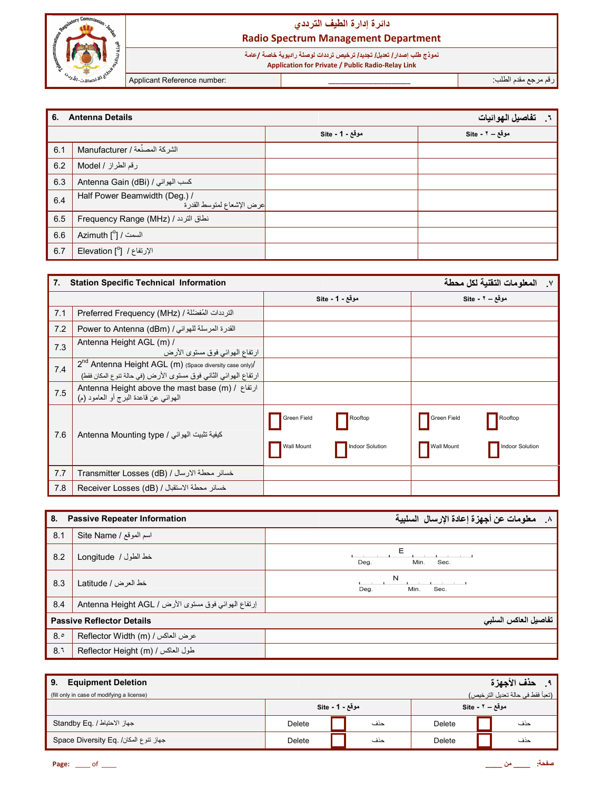

نموذج طلب إصدا*ر |* تعليل/ تجليل/ ترخيص ترددات لوصلة راديوية خاصة /عامة<br>Application for Private / Public Radio-Relay Link

Applicant Reference number:

رقم مرجع مقدم الطلب:

| 6.  | <b>Antenna Details</b><br>تفاصيل الهوائيات                 |                 |                 |  |  |  |  |
|-----|------------------------------------------------------------|-----------------|-----------------|--|--|--|--|
|     |                                                            | موقع - 1 - Site | موقع - ٢ - Site |  |  |  |  |
| 6.1 | الشركة المصنِّعة / Manufacturer                            |                 |                 |  |  |  |  |
| 6.2 | رقم الطراز / Model                                         |                 |                 |  |  |  |  |
| 6.3 | Antenna Gain (dBi) / كسب الهوائي                           |                 |                 |  |  |  |  |
| 6.4 | Half Power Beamwidth (Deg.) /<br>عرض الإشعاع لمتوسط القدرة |                 |                 |  |  |  |  |
| 6.5 | Frequency Range (MHz) / نطاق التردد /                      |                 |                 |  |  |  |  |
| 6.6 | Azimuth [°] / السمت /                                      |                 |                 |  |  |  |  |
| 6.7 | <b>Elevation</b> [°] / [2]                                 |                 |                 |  |  |  |  |

| 7.  | <b>Station Specific Technical Information</b>                                                                                          |                                                                | المعلومات التقنية لكل محطة<br>$\mathsf{v}$                     |
|-----|----------------------------------------------------------------------------------------------------------------------------------------|----------------------------------------------------------------|----------------------------------------------------------------|
|     |                                                                                                                                        | موقع - 1 - Site                                                | موقع - ۲ - Site                                                |
| 7.1 | التريدات المُفضَّلة / Preferred Frequency (MHz)                                                                                        |                                                                |                                                                |
| 7.2 | القدرة المرسلة للهوائي / Power to Antenna (dBm)                                                                                        |                                                                |                                                                |
| 7.3 | Antenna Height AGL (m) /<br>ارتفاع الهوائي فوق مستوى الأرض                                                                             |                                                                |                                                                |
| 7.4 | 2 <sup>nd</sup> Antenna Height AGL (m) (Space diversity case only)/<br>ارتفاع الهوائي الثاني فوق مستوى الأرض (في حالة تنوع المكان فقط) |                                                                |                                                                |
| 7.5 | Antenna Height above the mast base (m) / ارتفاع /<br>الهوائي عن قاعدة البرج أو العامود (م)                                             |                                                                |                                                                |
| 7.6 | كيفية تثبيت الهوائي / Antenna Mounting type                                                                                            | Green Field<br>Rooftop<br>Wall Mount<br><b>Indoor Solution</b> | Green Field<br>Rooftop<br>Wall Mount<br><b>Indoor Solution</b> |
| 7.7 | خسائر محطة الارسال / (Transmitter Losses (dB                                                                                           |                                                                |                                                                |
| 7.8 | خسائر محطة الاستقبال / Receiver Losses (dB)                                                                                            |                                                                |                                                                |

| 8.  | <b>Passive Repeater Information</b>                 | ٨. معلومات عن أجهزة إعادة الإرسال السلبية |
|-----|-----------------------------------------------------|-------------------------------------------|
| 8.1 | Site Name / اسم الموقع                              |                                           |
| 8.2 | خط الطول / Longitude                                | Е<br>Sec.<br>Min.<br>Dea.                 |
| 8.3 | خط العرض / Latitude                                 | N<br>Min.<br>Deg.<br>Sec.                 |
| 8.4 | إرتفاع الهوائي فوق مستوى الأرض / Antenna Height AGL |                                           |
|     | <b>Passive Reflector Details</b>                    | تفاصيل العاكس السلبي                      |
| 8.° | Reflector Width (m) / عرض العاكس                    |                                           |
| 8.1 | Reflector Height (m) / طول العاكس /                 |                                           |

| <b>Equipment Deletion</b><br>9.<br>(تعبأ فقط في حالة تعديل الترخيص)<br>(fill only in case of modifying a license) |                 |  |     |                 |  | ٩. حذف الأجهزة |
|-------------------------------------------------------------------------------------------------------------------|-----------------|--|-----|-----------------|--|----------------|
|                                                                                                                   | موقع - Site - 1 |  |     | موقع - ۲ - Site |  |                |
| جهاز الاحتياط / .Standby Eq                                                                                       | Delete          |  | حذف | Delete          |  | حذف            |
| Space Diversity Eq. /جهاز تنوع المكان                                                                             | Delete          |  | حذف | Delete          |  | حذف            |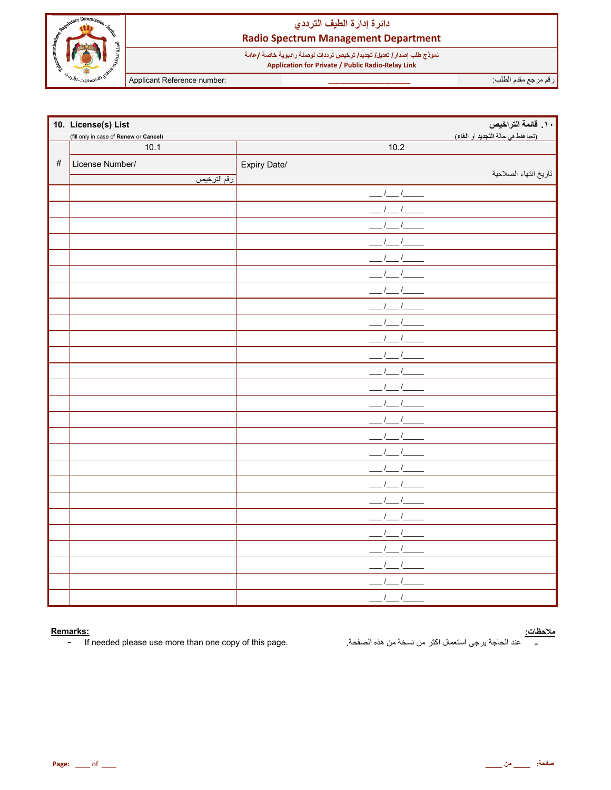

نموذج طلب إصدار/ تعليل/ تجليل/ ترخيص ترددات لوصلة راديوية خاصة /عامة<br>Application for Private / Public Radio-Relay Link

Applicant Reference number:

رقم مرجع مقدم الطلب

|      | 10. License(s) List                    |              | ١٠. قائمة التراخيص                  |
|------|----------------------------------------|--------------|-------------------------------------|
|      | (fill only in case of Renew or Cancel) |              | (تعبأ فقط في حالة التجديد أو الغاء) |
|      | 10.1                                   | 10.2         |                                     |
| $\#$ | License Number/                        | Expiry Date/ |                                     |
|      | رقم الترخيص                            |              | تاريخ انتهاء الصلاحية               |
|      |                                        | $\sqrt{1}$   |                                     |
|      |                                        |              |                                     |
|      |                                        |              |                                     |
|      |                                        |              |                                     |
|      |                                        |              |                                     |
|      |                                        |              |                                     |
|      |                                        |              |                                     |
|      |                                        |              |                                     |
|      |                                        |              |                                     |
|      |                                        |              |                                     |
|      |                                        |              |                                     |
|      |                                        |              |                                     |
|      |                                        |              |                                     |
|      |                                        |              |                                     |
|      |                                        |              |                                     |
|      |                                        |              |                                     |
|      |                                        |              |                                     |
|      |                                        |              |                                     |
|      |                                        |              |                                     |
|      |                                        |              |                                     |
|      |                                        |              |                                     |
|      |                                        |              |                                     |
|      |                                        |              |                                     |
|      |                                        |              |                                     |
|      |                                        |              |                                     |
|      |                                        |              |                                     |

#### Remarks:

If needed please use more than one copy of this page.  $\omega_{\rm{eff}}$ 

#### <u>ملاحظات:</u>

عند الحاجة يرجى استعمال اكثر من نسخة من هذه الصفحة.  $\overline{\phantom{a}}$